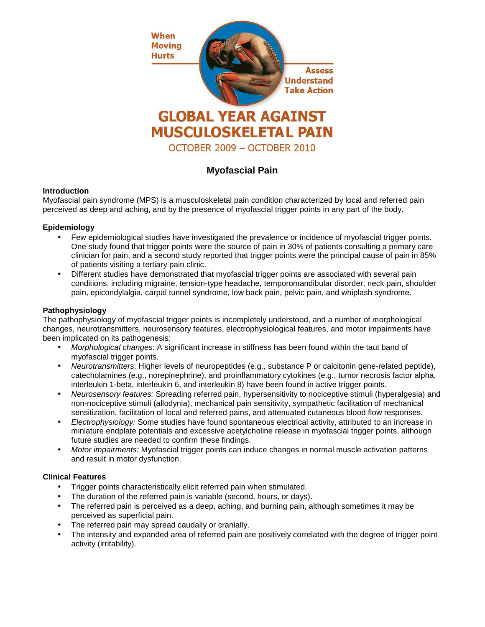

# **Myofascial Pain**

# **Introduction**

Myofascial pain syndrome (MPS) is a musculoskeletal pain condition characterized by local and referred pain perceived as deep and aching, and by the presence of myofascial trigger points in any part of the body.

# **Epidemiology**

- Few epidemiological studies have investigated the prevalence or incidence of myofascial trigger points. One study found that trigger points were the source of pain in 30% of patients consulting a primary care clinician for pain, and a second study reported that trigger points were the principal cause of pain in 85% of patients visiting a tertiary pain clinic.
- Different studies have demonstrated that myofascial trigger points are associated with several pain conditions, including migraine, tension-type headache, temporomandibular disorder, neck pain, shoulder pain, epicondylalgia, carpal tunnel syndrome, low back pain, pelvic pain, and whiplash syndrome.

# **Pathophysiology**

The pathophysiology of myofascial trigger points is incompletely understood, and a number of morphological changes, neurotransmitters, neurosensory features, electrophysiological features, and motor impairments have been implicated on its pathogenesis:

- Morphological changes: A significant increase in stiffness has been found within the taut band of myofascial trigger points.
- Neurotransmitters: Higher levels of neuropeptides (e.g., substance P or calcitonin gene-related peptide), catecholamines (e.g., norepinephrine), and proinflammatory cytokines (e.g., tumor necrosis factor alpha, interleukin 1-beta, interleukin 6, and interleukin 8) have been found in active trigger points.
- Neurosensory features: Spreading referred pain, hypersensitivity to nociceptive stimuli (hyperalgesia) and non-nociceptive stimuli (allodynia), mechanical pain sensitivity, sympathetic facilitation of mechanical sensitization, facilitation of local and referred pains, and attenuated cutaneous blood flow responses.
- Electrophysiology: Some studies have found spontaneous electrical activity, attributed to an increase in miniature endplate potentials and excessive acetylcholine release in myofascial trigger points, although future studies are needed to confirm these findings.
- Motor impairments: Myofascial trigger points can induce changes in normal muscle activation patterns and result in motor dysfunction.

#### **Clinical Features**

- Trigger points characteristically elicit referred pain when stimulated.
- The duration of the referred pain is variable (second, hours, or days).
- The referred pain is perceived as a deep, aching, and burning pain, although sometimes it may be perceived as superficial pain.
- The referred pain may spread caudally or cranially.
- The intensity and expanded area of referred pain are positively correlated with the degree of trigger point activity (irritability).